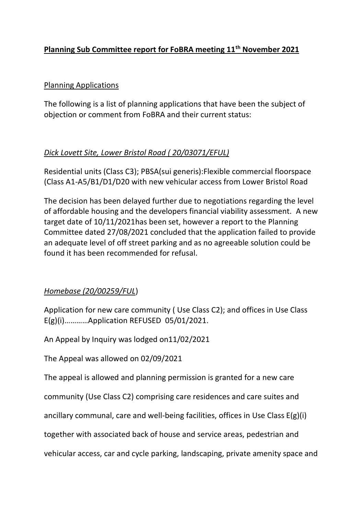## **Planning Sub Committee report for FoBRA meeting 11th November 2021**

#### Planning Applications

The following is a list of planning applications that have been the subject of objection or comment from FoBRA and their current status:

### *Dick Lovett Site, Lower Bristol Road ( 20/03071/EFUL)*

Residential units (Class C3); PBSA(sui generis):Flexible commercial floorspace (Class A1-A5/B1/D1/D20 with new vehicular access from Lower Bristol Road

The decision has been delayed further due to negotiations regarding the level of affordable housing and the developers financial viability assessment. A new target date of 10/11/2021has been set, however a report to the Planning Committee dated 27/08/2021 concluded that the application failed to provide an adequate level of off street parking and as no agreeable solution could be found it has been recommended for refusal.

# *Homebase (20/00259/FUL*)

Application for new care community ( Use Class C2); and offices in Use Class E(g)(i)…………Application REFUSED 05/01/2021.

An Appeal by Inquiry was lodged on11/02/2021

The Appeal was allowed on 02/09/2021

The appeal is allowed and planning permission is granted for a new care

community (Use Class C2) comprising care residences and care suites and

ancillary communal, care and well-being facilities, offices in Use Class E(g)(i)

together with associated back of house and service areas, pedestrian and

vehicular access, car and cycle parking, landscaping, private amenity space and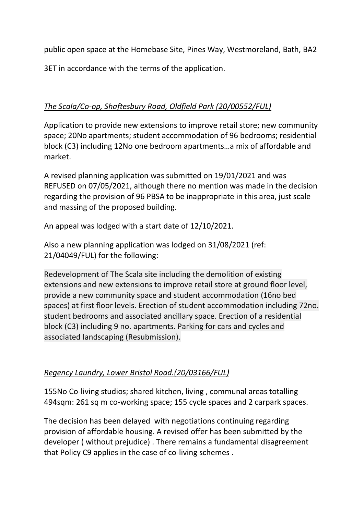public open space at the Homebase Site, Pines Way, Westmoreland, Bath, BA2

3ET in accordance with the terms of the application.

## *The Scala/Co-op, Shaftesbury Road, Oldfield Park (20/00552/FUL)*

Application to provide new extensions to improve retail store; new community space; 20No apartments; student accommodation of 96 bedrooms; residential block (C3) including 12No one bedroom apartments…a mix of affordable and market.

A revised planning application was submitted on 19/01/2021 and was REFUSED on 07/05/2021, although there no mention was made in the decision regarding the provision of 96 PBSA to be inappropriate in this area, just scale and massing of the proposed building.

An appeal was lodged with a start date of 12/10/2021.

Also a new planning application was lodged on 31/08/2021 (ref: 21/04049/FUL) for the following:

Redevelopment of The Scala site including the demolition of existing extensions and new extensions to improve retail store at ground floor level, provide a new community space and student accommodation (16no bed spaces) at first floor levels. Erection of student accommodation including 72no. student bedrooms and associated ancillary space. Erection of a residential block (C3) including 9 no. apartments. Parking for cars and cycles and associated landscaping (Resubmission).

### *Regency Laundry, Lower Bristol Road.(20/03166/FUL)*

155No Co-living studios; shared kitchen, living , communal areas totalling 494sqm: 261 sq m co-working space; 155 cycle spaces and 2 carpark spaces.

The decision has been delayed with negotiations continuing regarding provision of affordable housing. A revised offer has been submitted by the developer ( without prejudice) . There remains a fundamental disagreement that Policy C9 applies in the case of co-living schemes .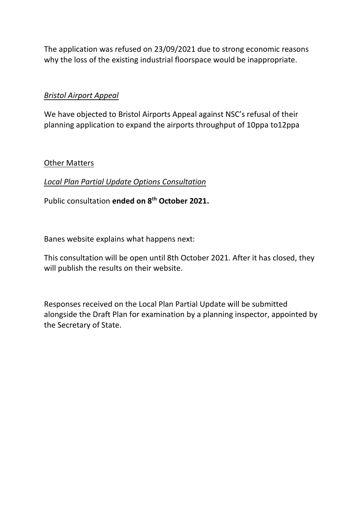The application was refused on 23/09/2021 due to strong economic reasons why the loss of the existing industrial floorspace would be inappropriate.

### *Bristol Airport Appeal*

We have objected to Bristol Airports Appeal against NSC's refusal of their planning application to expand the airports throughput of 10ppa to12ppa

#### Other Matters

#### *Local Plan Partial Update Options Consultation*

Public consultation **ended on 8th October 2021.**

Banes website explains what happens next:

This consultation will be open until 8th October 2021. After it has closed, they will publish the results on their website.

Responses received on the Local Plan Partial Update will be submitted alongside the Draft Plan for examination by a planning inspector, appointed by the Secretary of State.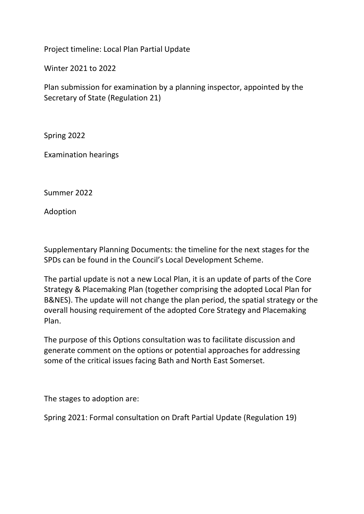Project timeline: Local Plan Partial Update

Winter 2021 to 2022

Plan submission for examination by a planning inspector, appointed by the Secretary of State (Regulation 21)

Spring 2022

Examination hearings

Summer 2022

Adoption

Supplementary Planning Documents: the timeline for the next stages for the SPDs can be found in the Council's Local Development Scheme.

The partial update is not a new Local Plan, it is an update of parts of the Core Strategy & Placemaking Plan (together comprising the adopted Local Plan for B&NES). The update will not change the plan period, the spatial strategy or the overall housing requirement of the adopted Core Strategy and Placemaking Plan.

The purpose of this Options consultation was to facilitate discussion and generate comment on the options or potential approaches for addressing some of the critical issues facing Bath and North East Somerset.

The stages to adoption are:

Spring 2021: Formal consultation on Draft Partial Update (Regulation 19)